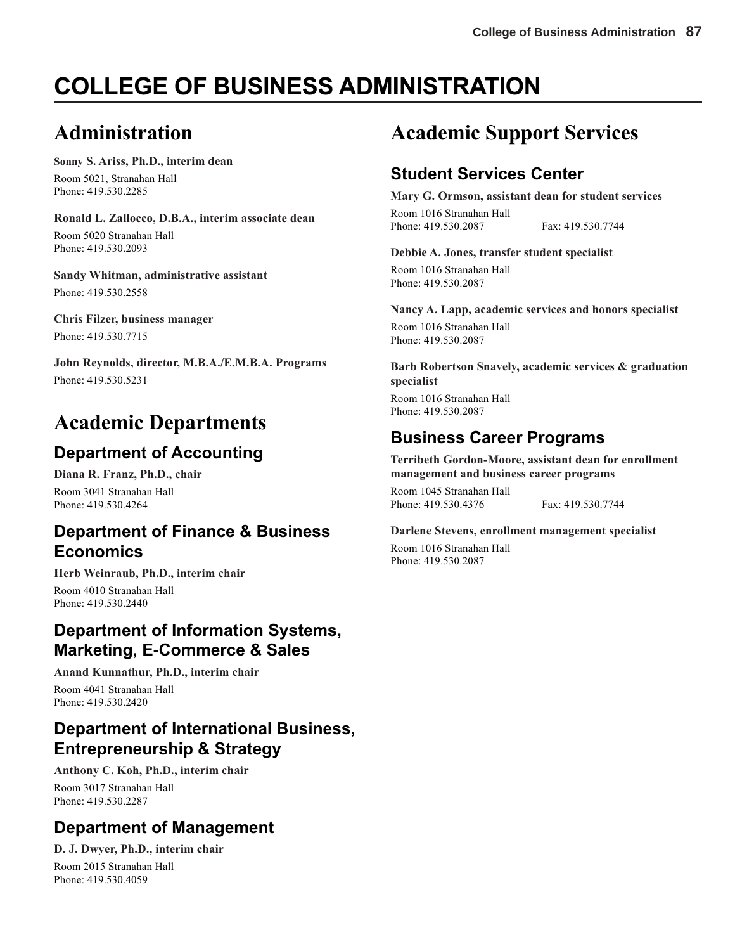# **COLLEGE OF BUSINESS ADMINISTRATION**

# **Administration**

# **Sonny S. Ariss, Ph.D., interim dean**

Room 5021, Stranahan Hall Phone: 419.530.2285

### **Ronald L. Zallocco, D.B.A., interim associate dean**

Room 5020 Stranahan Hall Phone: 419.530.2093

**Sandy Whitman, administrative assistant** Phone: 419.530.2558

### **Chris Filzer, business manager**

Phone: 419.530.7715

**John Reynolds, director, M.B.A./E.M.B.A. Programs** Phone: 419.530.5231

# **Academic Departments**

# **Department of Accounting**

**Diana R. Franz, Ph.D., chair** Room 3041 Stranahan Hall Phone: 419.530.4264

# **Department of Finance & Business Economics**

**Herb Weinraub, Ph.D., interim chair** Room 4010 Stranahan Hall Phone: 419.530.2440

# **Department of Information Systems, Marketing, E-Commerce & Sales**

**Anand Kunnathur, Ph.D., interim chair**

Room 4041 Stranahan Hall Phone: 419.530.2420

# **Department of International Business, Entrepreneurship & Strategy**

**Anthony C. Koh, Ph.D., interim chair** Room 3017 Stranahan Hall Phone: 419.530.2287

# **Department of Management**

**D. J. Dwyer, Ph.D., interim chair** Room 2015 Stranahan Hall Phone: 419.530.4059

# **Academic Support Services**

# **Student Services Center**

**Mary G. Ormson, assistant dean for student services**

Room 1016 Stranahan Hall Phone: 419.530.2087 Fax: 419.530.7744

### **Debbie A. Jones, transfer student specialist**

Room 1016 Stranahan Hall Phone: 419.530.2087

**Nancy A. Lapp, academic services and honors specialist**

Room 1016 Stranahan Hall Phone: 419.530.2087

**Barb Robertson Snavely, academic services & graduation specialist**

Room 1016 Stranahan Hall Phone: 419.530.2087

# **Business Career Programs**

**Terribeth Gordon-Moore, assistant dean for enrollment management and business career programs**

Room 1045 Stranahan Hall Phone: 419.530.4376 Fax: 419.530.7744

### **Darlene Stevens, enrollment management specialist**

Room 1016 Stranahan Hall Phone: 419.530.2087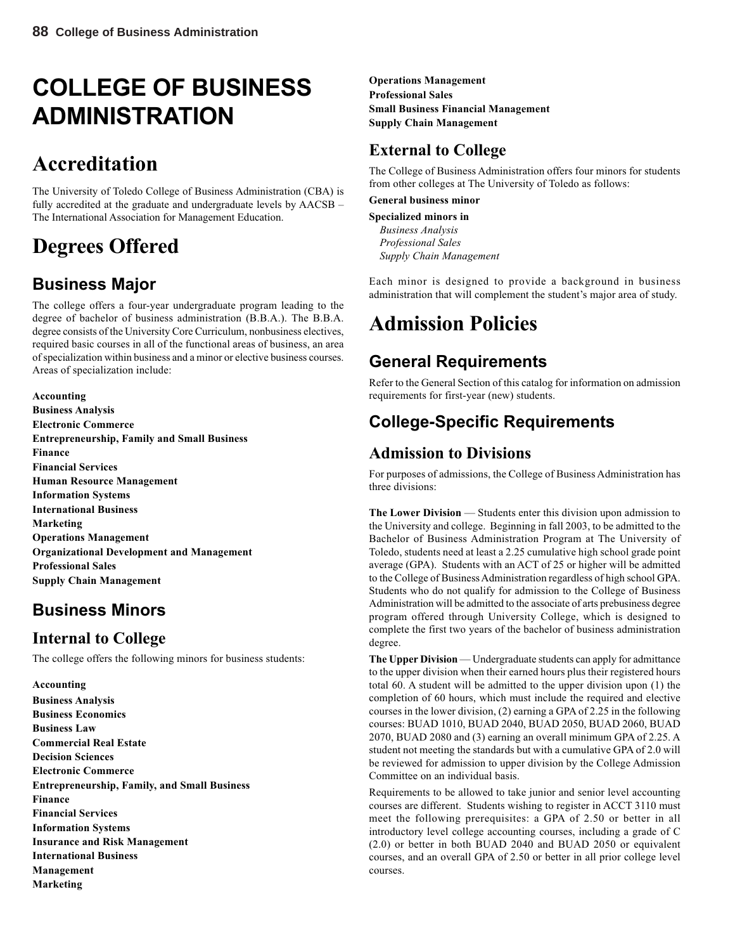# **COLLEGE OF BUSINESS ADMINISTRATION**

# **Accreditation**

The University of Toledo College of Business Administration (CBA) is fully accredited at the graduate and undergraduate levels by AACSB – The International Association for Management Education.

# **Degrees Offered**

# **Business Major**

The college offers a four-year undergraduate program leading to the degree of bachelor of business administration (B.B.A.). The B.B.A. degree consists of the University Core Curriculum, nonbusiness electives, required basic courses in all of the functional areas of business, an area of specialization within business and a minor or elective business courses. Areas of specialization include:

**Accounting Business Analysis Electronic Commerce Entrepreneurship, Family and Small Business Finance Financial Services Human Resource Management Information Systems International Business Marketing Operations Management Organizational Development and Management Professional Sales Supply Chain Management**

# **Business Minors**

# **Internal to College**

The college offers the following minors for business students:

**Accounting Business Analysis Business Economics Business Law Commercial Real Estate Decision Sciences Electronic Commerce Entrepreneurship, Family, and Small Business Finance Financial Services Information Systems Insurance and Risk Management International Business Management Marketing**

**Operations Management Professional Sales Small Business Financial Management Supply Chain Management**

# **External to College**

The College of Business Administration offers four minors for students from other colleges at The University of Toledo as follows:

### **General business minor**

**Specialized minors in** *Business Analysis Professional Sales Supply Chain Management*

Each minor is designed to provide a background in business administration that will complement the student's major area of study.

# **Admission Policies**

# **General Requirements**

Refer to the General Section of this catalog for information on admission requirements for first-year (new) students.

# **College-Specific Requirements**

# **Admission to Divisions**

For purposes of admissions, the College of Business Administration has three divisions:

**The Lower Division** — Students enter this division upon admission to the University and college. Beginning in fall 2003, to be admitted to the Bachelor of Business Administration Program at The University of Toledo, students need at least a 2.25 cumulative high school grade point average (GPA). Students with an ACT of 25 or higher will be admitted to the College of Business Administration regardless of high school GPA. Students who do not qualify for admission to the College of Business Administration will be admitted to the associate of arts prebusiness degree program offered through University College, which is designed to complete the first two years of the bachelor of business administration degree.

**The Upper Division** — Undergraduate students can apply for admittance to the upper division when their earned hours plus their registered hours total 60. A student will be admitted to the upper division upon (1) the completion of 60 hours, which must include the required and elective courses in the lower division, (2) earning a GPA of 2.25 in the following courses: BUAD 1010, BUAD 2040, BUAD 2050, BUAD 2060, BUAD 2070, BUAD 2080 and (3) earning an overall minimum GPA of 2.25. A student not meeting the standards but with a cumulative GPA of 2.0 will be reviewed for admission to upper division by the College Admission Committee on an individual basis.

Requirements to be allowed to take junior and senior level accounting courses are different. Students wishing to register in ACCT 3110 must meet the following prerequisites: a GPA of 2.50 or better in all introductory level college accounting courses, including a grade of C (2.0) or better in both BUAD 2040 and BUAD 2050 or equivalent courses, and an overall GPA of 2.50 or better in all prior college level courses.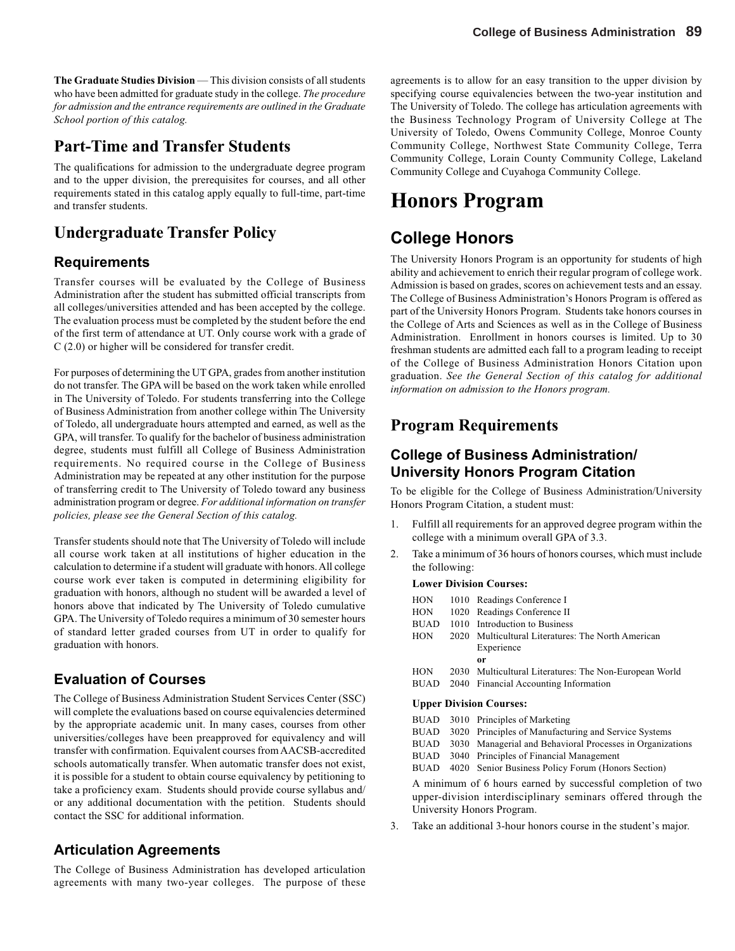**The Graduate Studies Division** — This division consists of all students who have been admitted for graduate study in the college. *The procedure for admission and the entrance requirements are outlined in the Graduate School portion of this catalog.*

### **Part-Time and Transfer Students**

The qualifications for admission to the undergraduate degree program and to the upper division, the prerequisites for courses, and all other requirements stated in this catalog apply equally to full-time, part-time and transfer students.

# **Undergraduate Transfer Policy**

### **Requirements**

Transfer courses will be evaluated by the College of Business Administration after the student has submitted official transcripts from all colleges/universities attended and has been accepted by the college. The evaluation process must be completed by the student before the end of the first term of attendance at UT. Only course work with a grade of C (2.0) or higher will be considered for transfer credit.

For purposes of determining the UT GPA, grades from another institution do not transfer. The GPA will be based on the work taken while enrolled in The University of Toledo. For students transferring into the College of Business Administration from another college within The University of Toledo, all undergraduate hours attempted and earned, as well as the GPA, will transfer. To qualify for the bachelor of business administration degree, students must fulfill all College of Business Administration requirements. No required course in the College of Business Administration may be repeated at any other institution for the purpose of transferring credit to The University of Toledo toward any business administration program or degree. *For additional information on transfer policies, please see the General Section of this catalog.*

Transfer students should note that The University of Toledo will include all course work taken at all institutions of higher education in the calculation to determine if a student will graduate with honors. All college course work ever taken is computed in determining eligibility for graduation with honors, although no student will be awarded a level of honors above that indicated by The University of Toledo cumulative GPA. The University of Toledo requires a minimum of 30 semester hours of standard letter graded courses from UT in order to qualify for graduation with honors.

### **Evaluation of Courses**

The College of Business Administration Student Services Center (SSC) will complete the evaluations based on course equivalencies determined by the appropriate academic unit. In many cases, courses from other universities/colleges have been preapproved for equivalency and will transfer with confirmation. Equivalent courses from AACSB-accredited schools automatically transfer. When automatic transfer does not exist, it is possible for a student to obtain course equivalency by petitioning to take a proficiency exam. Students should provide course syllabus and/ or any additional documentation with the petition. Students should contact the SSC for additional information.

### **Articulation Agreements**

The College of Business Administration has developed articulation agreements with many two-year colleges. The purpose of these agreements is to allow for an easy transition to the upper division by specifying course equivalencies between the two-year institution and The University of Toledo. The college has articulation agreements with the Business Technology Program of University College at The University of Toledo, Owens Community College, Monroe County Community College, Northwest State Community College, Terra Community College, Lorain County Community College, Lakeland Community College and Cuyahoga Community College.

# **Honors Program**

# **College Honors**

The University Honors Program is an opportunity for students of high ability and achievement to enrich their regular program of college work. Admission is based on grades, scores on achievement tests and an essay. The College of Business Administration's Honors Program is offered as part of the University Honors Program. Students take honors courses in the College of Arts and Sciences as well as in the College of Business Administration. Enrollment in honors courses is limited. Up to 30 freshman students are admitted each fall to a program leading to receipt of the College of Business Administration Honors Citation upon graduation. *See the General Section of this catalog for additional information on admission to the Honors program.*

### **Program Requirements**

### **College of Business Administration/ University Honors Program Citation**

To be eligible for the College of Business Administration/University Honors Program Citation, a student must:

- 1. Fulfill all requirements for an approved degree program within the college with a minimum overall GPA of 3.3.
- 2. Take a minimum of 36 hours of honors courses, which must include the following:

#### **Lower Division Courses:**

| <b>HON</b>  | 1010 Readings Conference I                             |
|-------------|--------------------------------------------------------|
| <b>HON</b>  | 1020 Readings Conference II                            |
| <b>BUAD</b> | 1010 Introduction to Business                          |
| <b>HON</b>  | 2020 Multicultural Literatures: The North American     |
|             | Experience                                             |
|             | 0r                                                     |
| <b>HON</b>  | 2030 Multicultural Literatures: The Non-European World |
| BUAD        | 2040 Financial Accounting Information                  |
|             | <b>Upper Division Courses:</b>                         |
|             | $PIIMD = 3010$ Principles of Marketing                 |

|  | BUAD 3010 Principles of Marketing                              |
|--|----------------------------------------------------------------|
|  | BUAD 3020 Principles of Manufacturing and Service Systems      |
|  | BUAD 3030 Managerial and Behavioral Processes in Organizations |
|  | $\mathbf{D}$                                                   |

BUAD 3040 Principles of Financial Management

BUAD 4020 Senior Business Policy Forum (Honors Section)

A minimum of 6 hours earned by successful completion of two upper-division interdisciplinary seminars offered through the University Honors Program.

3. Take an additional 3-hour honors course in the student's major.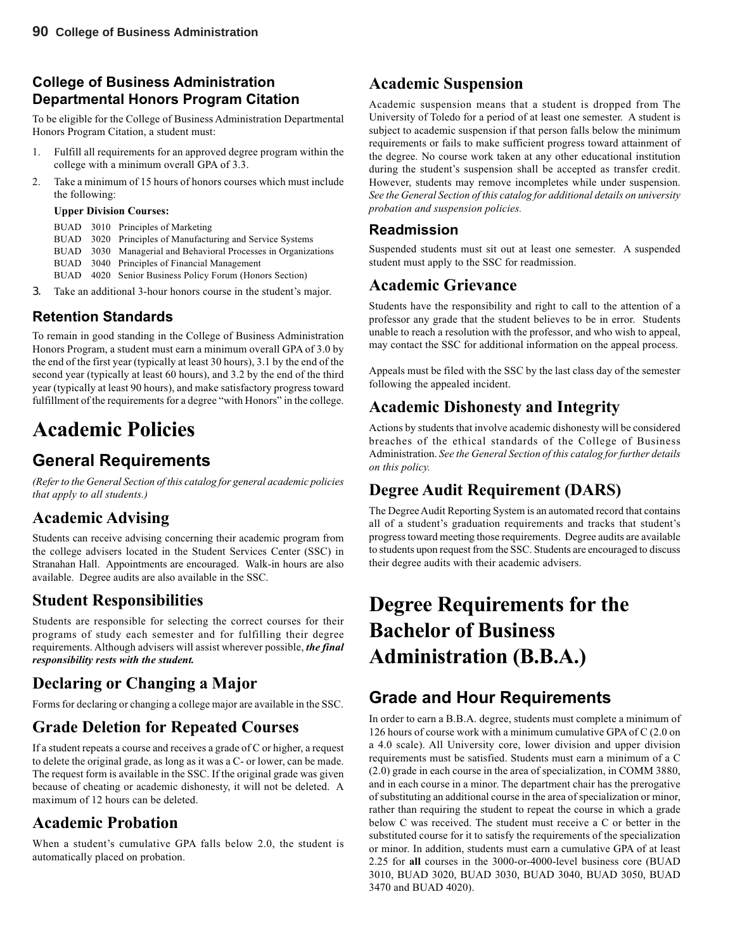### **College of Business Administration Departmental Honors Program Citation**

To be eligible for the College of Business Administration Departmental Honors Program Citation, a student must:

- 1. Fulfill all requirements for an approved degree program within the college with a minimum overall GPA of 3.3.
- 2. Take a minimum of 15 hours of honors courses which must include the following:

#### **Upper Division Courses:**

- BUAD 3010 Principles of Marketing
- BUAD 3020 Principles of Manufacturing and Service Systems
- BUAD 3030 Managerial and Behavioral Processes in Organizations
- BUAD 3040 Principles of Financial Management
- BUAD 4020 Senior Business Policy Forum (Honors Section)
- 3. Take an additional 3-hour honors course in the student's major.

### **Retention Standards**

To remain in good standing in the College of Business Administration Honors Program, a student must earn a minimum overall GPA of 3.0 by the end of the first year (typically at least 30 hours), 3.1 by the end of the second year (typically at least 60 hours), and 3.2 by the end of the third year (typically at least 90 hours), and make satisfactory progress toward fulfillment of the requirements for a degree "with Honors" in the college.

# **Academic Policies**

# **General Requirements**

*(Refer to the General Section of this catalog for general academic policies that apply to all students.)*

### **Academic Advising**

Students can receive advising concerning their academic program from the college advisers located in the Student Services Center (SSC) in Stranahan Hall. Appointments are encouraged. Walk-in hours are also available. Degree audits are also available in the SSC.

# **Student Responsibilities**

Students are responsible for selecting the correct courses for their programs of study each semester and for fulfilling their degree requirements. Although advisers will assist wherever possible, *the final responsibility rests with the student.*

# **Declaring or Changing a Major**

Forms for declaring or changing a college major are available in the SSC.

# **Grade Deletion for Repeated Courses**

If a student repeats a course and receives a grade of C or higher, a request to delete the original grade, as long as it was a C- or lower, can be made. The request form is available in the SSC. If the original grade was given because of cheating or academic dishonesty, it will not be deleted. A maximum of 12 hours can be deleted.

# **Academic Probation**

When a student's cumulative GPA falls below 2.0, the student is automatically placed on probation.

## **Academic Suspension**

Academic suspension means that a student is dropped from The University of Toledo for a period of at least one semester. A student is subject to academic suspension if that person falls below the minimum requirements or fails to make sufficient progress toward attainment of the degree. No course work taken at any other educational institution during the student's suspension shall be accepted as transfer credit. However, students may remove incompletes while under suspension. *See the General Section of this catalog for additional details on university probation and suspension policies.*

### **Readmission**

Suspended students must sit out at least one semester. A suspended student must apply to the SSC for readmission.

### **Academic Grievance**

Students have the responsibility and right to call to the attention of a professor any grade that the student believes to be in error. Students unable to reach a resolution with the professor, and who wish to appeal, may contact the SSC for additional information on the appeal process.

Appeals must be filed with the SSC by the last class day of the semester following the appealed incident.

# **Academic Dishonesty and Integrity**

Actions by students that involve academic dishonesty will be considered breaches of the ethical standards of the College of Business Administration. *See the General Section of this catalog for further details on this policy.*

# **Degree Audit Requirement (DARS)**

The Degree Audit Reporting System is an automated record that contains all of a student's graduation requirements and tracks that student's progress toward meeting those requirements. Degree audits are available to students upon request from the SSC. Students are encouraged to discuss their degree audits with their academic advisers.

# **Degree Requirements for the Bachelor of Business Administration (B.B.A.)**

# **Grade and Hour Requirements**

In order to earn a B.B.A. degree, students must complete a minimum of 126 hours of course work with a minimum cumulative GPA of C (2.0 on a 4.0 scale). All University core, lower division and upper division requirements must be satisfied. Students must earn a minimum of a C (2.0) grade in each course in the area of specialization, in COMM 3880, and in each course in a minor. The department chair has the prerogative of substituting an additional course in the area of specialization or minor, rather than requiring the student to repeat the course in which a grade below C was received. The student must receive a C or better in the substituted course for it to satisfy the requirements of the specialization or minor. In addition, students must earn a cumulative GPA of at least 2.25 for **all** courses in the 3000-or-4000-level business core (BUAD 3010, BUAD 3020, BUAD 3030, BUAD 3040, BUAD 3050, BUAD 3470 and BUAD 4020).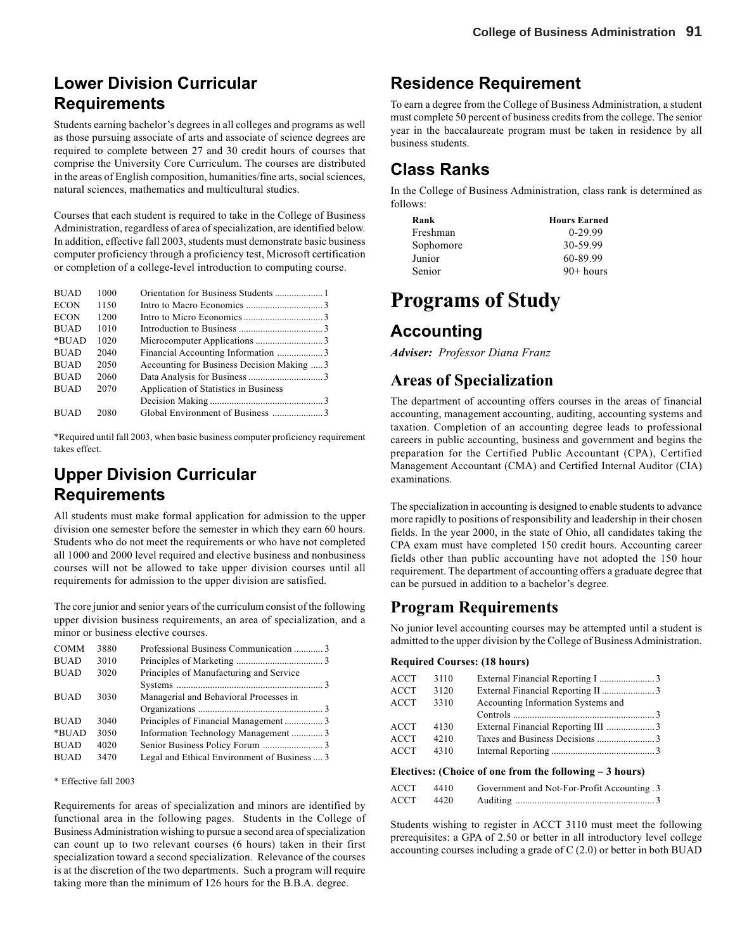# **Lower Division Curricular Requirements**

Students earning bachelor's degrees in all colleges and programs as well as those pursuing associate of arts and associate of science degrees are required to complete between 27 and 30 credit hours of courses that comprise the University Core Curriculum. The courses are distributed in the areas of English composition, humanities/fine arts, social sciences, natural sciences, mathematics and multicultural studies.

Courses that each student is required to take in the College of Business Administration, regardless of area of specialization, are identified below. In addition, effective fall 2003, students must demonstrate basic business computer proficiency through a proficiency test, Microsoft certification or completion of a college-level introduction to computing course.

| <b>BUAD</b> | 1000 |                                            |  |
|-------------|------|--------------------------------------------|--|
| <b>ECON</b> | 1150 |                                            |  |
| <b>ECON</b> | 1200 |                                            |  |
| <b>BUAD</b> | 1010 |                                            |  |
| *BUAD       | 1020 |                                            |  |
| <b>BUAD</b> | 2040 | Financial Accounting Information 3         |  |
| <b>BUAD</b> | 2050 | Accounting for Business Decision Making  3 |  |
| <b>BUAD</b> | 2060 |                                            |  |
| <b>BUAD</b> | 2070 | Application of Statistics in Business      |  |
|             |      |                                            |  |
| <b>BUAD</b> | 2080 |                                            |  |

\*Required until fall 2003, when basic business computer proficiency requirement takes effect.

# **Upper Division Curricular Requirements**

All students must make formal application for admission to the upper division one semester before the semester in which they earn 60 hours. Students who do not meet the requirements or who have not completed all 1000 and 2000 level required and elective business and nonbusiness courses will not be allowed to take upper division courses until all requirements for admission to the upper division are satisfied.

The core junior and senior years of the curriculum consist of the following upper division business requirements, an area of specialization, and a minor or business elective courses.

| <b>COMM</b> | 3880 | Professional Business Communication  3       |  |
|-------------|------|----------------------------------------------|--|
| <b>BUAD</b> | 3010 |                                              |  |
| <b>BUAD</b> | 3020 | Principles of Manufacturing and Service      |  |
|             |      |                                              |  |
| <b>BUAD</b> | 3030 | Managerial and Behavioral Processes in       |  |
|             |      |                                              |  |
| <b>BUAD</b> | 3040 |                                              |  |
| *BUAD       | 3050 | Information Technology Management  3         |  |
| <b>BUAD</b> | 4020 |                                              |  |
| <b>BUAD</b> | 3470 | Legal and Ethical Environment of Business  3 |  |

#### \* Effective fall 2003

Requirements for areas of specialization and minors are identified by functional area in the following pages. Students in the College of Business Administration wishing to pursue a second area of specialization can count up to two relevant courses (6 hours) taken in their first specialization toward a second specialization. Relevance of the courses is at the discretion of the two departments. Such a program will require taking more than the minimum of 126 hours for the B.B.A. degree.

# **Residence Requirement**

To earn a degree from the College of Business Administration, a student must complete 50 percent of business credits from the college. The senior year in the baccalaureate program must be taken in residence by all business students.

## **Class Ranks**

In the College of Business Administration, class rank is determined as follows:

| Rank      | <b>Hours Earned</b> |
|-----------|---------------------|
| Freshman  | $0-29.99$           |
| Sophomore | 30-59.99            |
| Junior    | 60-89.99            |
| Senior    | $90+ hours$         |
|           |                     |

# **Programs of Study**

### **Accounting**

*Adviser: Professor Diana Franz*

### **Areas of Specialization**

The department of accounting offers courses in the areas of financial accounting, management accounting, auditing, accounting systems and taxation. Completion of an accounting degree leads to professional careers in public accounting, business and government and begins the preparation for the Certified Public Accountant (CPA), Certified Management Accountant (CMA) and Certified Internal Auditor (CIA) examinations.

The specialization in accounting is designed to enable students to advance more rapidly to positions of responsibility and leadership in their chosen fields. In the year 2000, in the state of Ohio, all candidates taking the CPA exam must have completed 150 credit hours. Accounting career fields other than public accounting have not adopted the 150 hour requirement. The department of accounting offers a graduate degree that can be pursued in addition to a bachelor's degree.

### **Program Requirements**

No junior level accounting courses may be attempted until a student is admitted to the upper division by the College of Business Administration.

#### **Required Courses: (18 hours)**

| ACCT        | 3110 |                                                         |  |
|-------------|------|---------------------------------------------------------|--|
| ACCT        | 3120 |                                                         |  |
| ACCT        | 3310 | Accounting Information Systems and                      |  |
|             |      |                                                         |  |
| <b>ACCT</b> | 4130 | External Financial Reporting III 3                      |  |
| ACCT        | 4210 |                                                         |  |
| ACCT        | 4310 |                                                         |  |
|             |      | Electives: (Choice of one from the following - 3 hours) |  |

### **Electives: (Choice of one from the following – 3 hours)**

| ACCT | 4410 | Government and Not-For-Profit Accounting 3 |
|------|------|--------------------------------------------|
| ACCT | 4420 |                                            |

Students wishing to register in ACCT 3110 must meet the following prerequisites: a GPA of 2.50 or better in all introductory level college accounting courses including a grade of C (2.0) or better in both BUAD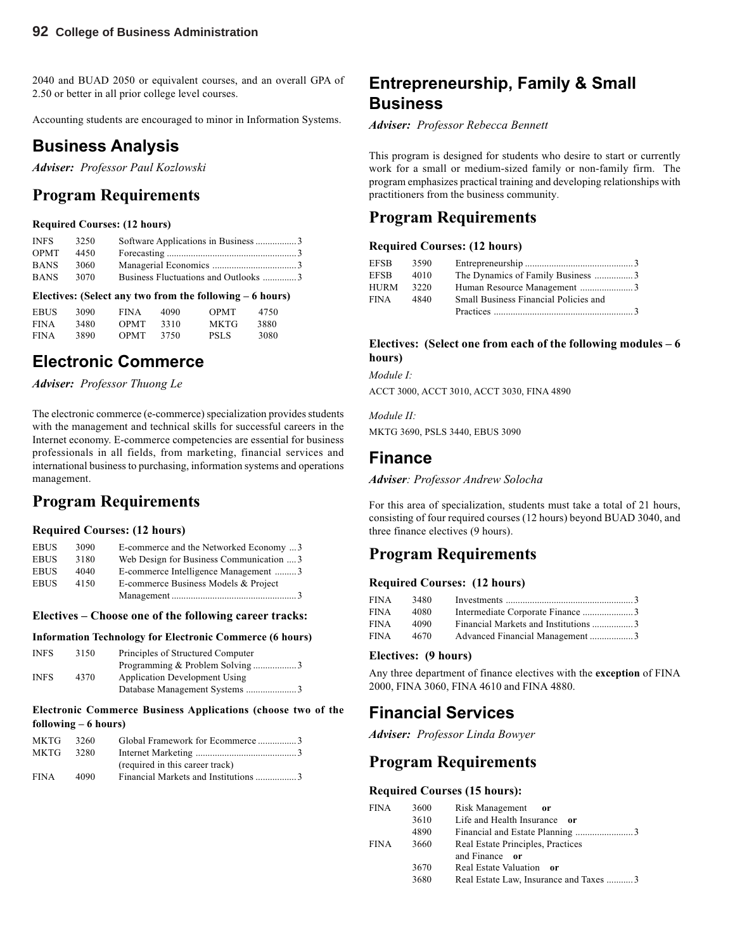2040 and BUAD 2050 or equivalent courses, and an overall GPA of 2.50 or better in all prior college level courses.

Accounting students are encouraged to minor in Information Systems.

### **Business Analysis**

*Adviser: Professor Paul Kozlowski*

### **Program Requirements**

#### **Required Courses: (12 hours)**

| <b>INFS</b> | 3250  | Software Applications in Business 3  |  |
|-------------|-------|--------------------------------------|--|
| <b>OPMT</b> | 4450  |                                      |  |
| <b>BANS</b> | -3060 |                                      |  |
| <b>BANS</b> | 3070  | Business Fluctuations and Outlooks 3 |  |

#### **Electives: (Select any two from the following – 6 hours)**

| <b>EBUS</b> | 3090 | <b>FINA</b> | 4090 | <b>OPMT</b> | 4750 |
|-------------|------|-------------|------|-------------|------|
| <b>FINA</b> | 3480 | <b>OPMT</b> | 3310 | MKTG        | 3880 |
| <b>FINA</b> | 3890 | <b>OPMT</b> | 3750 | <b>PSLS</b> | 3080 |

# **Electronic Commerce**

*Adviser: Professor Thuong Le*

The electronic commerce (e-commerce) specialization provides students with the management and technical skills for successful careers in the Internet economy. E-commerce competencies are essential for business professionals in all fields, from marketing, financial services and international business to purchasing, information systems and operations management.

# **Program Requirements**

#### **Required Courses: (12 hours)**

| <b>EBUS</b> | 3090 | E-commerce and the Networked Economy  3  |  |
|-------------|------|------------------------------------------|--|
| <b>EBUS</b> | 3180 | Web Design for Business Communication  3 |  |
| <b>EBUS</b> | 4040 | E-commerce Intelligence Management 3     |  |
| <b>EBUS</b> | 4150 | E-commerce Business Models & Project     |  |
|             |      |                                          |  |

#### **Electives – Choose one of the following career tracks:**

#### **Information Technology for Electronic Commerce (6 hours)**

| <b>INFS</b> | 3150 | Principles of Structured Computer    |  |
|-------------|------|--------------------------------------|--|
|             |      | Programming & Problem Solving 3      |  |
| <b>INFS</b> | 4370 | <b>Application Development Using</b> |  |
|             |      |                                      |  |

#### **Electronic Commerce Business Applications (choose two of the following – 6 hours)**

| MKTG 3260   |      | Global Framework for Ecommerce3      |  |
|-------------|------|--------------------------------------|--|
| MKTG 3280   |      |                                      |  |
|             |      | (required in this career track)      |  |
| <b>FINA</b> | 4090 | Financial Markets and Institutions 3 |  |
|             |      |                                      |  |

## **Entrepreneurship, Family & Small Business**

*Adviser: Professor Rebecca Bennett*

This program is designed for students who desire to start or currently work for a small or medium-sized family or non-family firm. The program emphasizes practical training and developing relationships with practitioners from the business community.

### **Program Requirements**

#### **Required Courses: (12 hours)**

| EFSB.       | 3590 |                                       |  |
|-------------|------|---------------------------------------|--|
| <b>EFSB</b> | 4010 | The Dynamics of Family Business 3     |  |
| HURM        | 3220 |                                       |  |
| FINA        | 4840 | Small Business Financial Policies and |  |
|             |      |                                       |  |

#### **Electives: (Select one from each of the following modules – 6 hours)**

*Module I:*

ACCT 3000, ACCT 3010, ACCT 3030, FINA 4890

*Module II:*

MKTG 3690, PSLS 3440, EBUS 3090

### **Finance**

*Adviser: Professor Andrew Solocha*

For this area of specialization, students must take a total of 21 hours, consisting of four required courses (12 hours) beyond BUAD 3040, and three finance electives (9 hours).

# **Program Requirements**

### **Required Courses: (12 hours)**

| FINA | 3480 |                                 |  |
|------|------|---------------------------------|--|
| FINA | 4080 |                                 |  |
| FINA | 4090 |                                 |  |
| FINA | 4670 | Advanced Financial Management 3 |  |

#### **Electives: (9 hours)**

Any three department of finance electives with the **exception** of FINA 2000, FINA 3060, FINA 4610 and FINA 4880.

### **Financial Services**

*Adviser: Professor Linda Bowyer*

### **Program Requirements**

#### **Required Courses (15 hours):**

| FINA | 3600 | Risk Management<br>$-$ or              |
|------|------|----------------------------------------|
|      | 3610 | Life and Health Insurance or           |
|      | 4890 |                                        |
| FINA | 3660 | Real Estate Principles, Practices      |
|      |      | and Finance or                         |
|      | 3670 | Real Estate Valuation or               |
|      | 3680 | Real Estate Law, Insurance and Taxes 3 |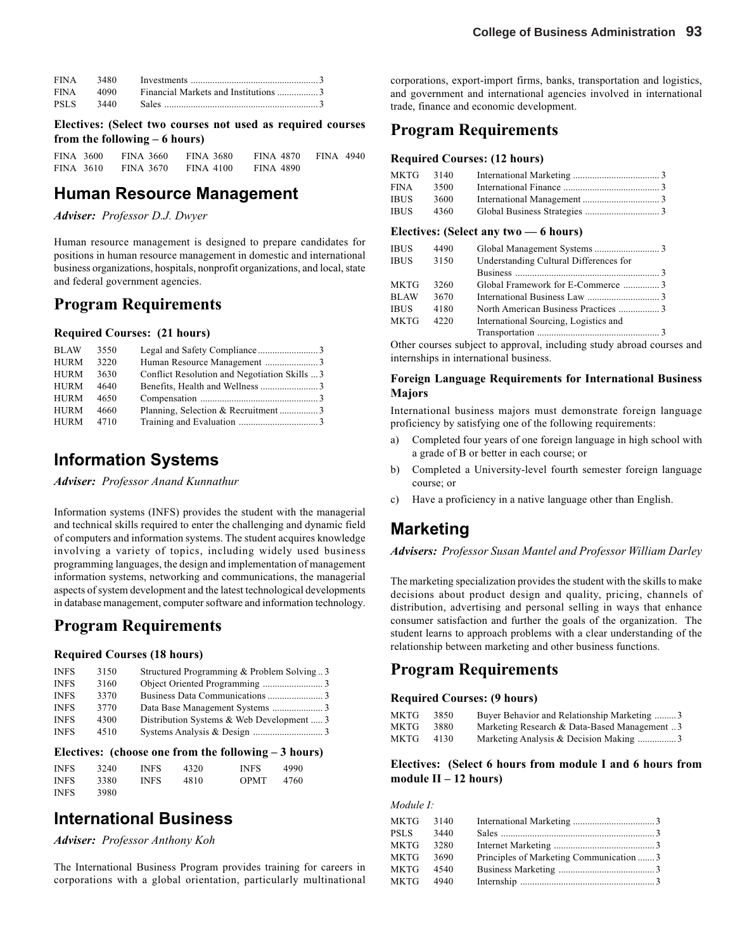| FINA 3480 |                                      |  |
|-----------|--------------------------------------|--|
| FINA 4090 | Financial Markets and Institutions 3 |  |
|           |                                      |  |

**Electives: (Select two courses not used as required courses from the following – 6 hours)**

FINA 3600 FINA 3660 FINA 3680 FINA 4870 FINA 4940 FINA 3610 FINA 3670 FINA 4100 FINA 4890

### **Human Resource Management**

*Adviser: Professor D.J. Dwyer*

Human resource management is designed to prepare candidates for positions in human resource management in domestic and international business organizations, hospitals, nonprofit organizations, and local, state and federal government agencies.

### **Program Requirements**

#### **Required Courses: (21 hours)**

| <b>BLAW</b> | 3550 |                                               |  |
|-------------|------|-----------------------------------------------|--|
| <b>HURM</b> | 3220 |                                               |  |
| <b>HURM</b> | 3630 | Conflict Resolution and Negotiation Skills  3 |  |
| HURM        | 4640 |                                               |  |
| HURM        | 4650 |                                               |  |
| HURM        | 4660 | Planning, Selection & Recruitment3            |  |
| HURM        | 4710 |                                               |  |

# **Information Systems**

*Adviser: Professor Anand Kunnathur*

Information systems (INFS) provides the student with the managerial and technical skills required to enter the challenging and dynamic field of computers and information systems. The student acquires knowledge involving a variety of topics, including widely used business programming languages, the design and implementation of management information systems, networking and communications, the managerial aspects of system development and the latest technological developments in database management, computer software and information technology.

### **Program Requirements**

#### **Required Courses (18 hours)**

| <b>INFS</b> | 3150 | Structured Programming & Problem Solving3 |  |
|-------------|------|-------------------------------------------|--|
| <b>INFS</b> | 3160 |                                           |  |
| <b>INFS</b> | 3370 |                                           |  |
| <b>INFS</b> | 3770 |                                           |  |
| <b>INFS</b> | 4300 | Distribution Systems & Web Development  3 |  |
| <b>INFS</b> | 4510 |                                           |  |

#### **Electives: (choose one from the following – 3 hours)**

| <b>INFS</b> | 3240 | <b>INFS</b> | 4320 | <b>INFS</b> | 4990 |  |
|-------------|------|-------------|------|-------------|------|--|
| <b>INFS</b> | 3380 | <b>INFS</b> | 4810 | <b>OPMT</b> | 4760 |  |
| <b>INFS</b> | 3980 |             |      |             |      |  |

# **International Business**

*Adviser: Professor Anthony Koh*

The International Business Program provides training for careers in corporations with a global orientation, particularly multinational corporations, export-import firms, banks, transportation and logistics, and government and international agencies involved in international trade, finance and economic development.

### **Program Requirements**

#### **Required Courses: (12 hours)**

| MKTG 3140 |      |  |
|-----------|------|--|
| FINA      | 3500 |  |
| IBUS.     | 3600 |  |
| IBUS -    | 4360 |  |

#### **Electives: (Select any two — 6 hours)**

| <b>IBUS</b> | 4490 |                                        |  |
|-------------|------|----------------------------------------|--|
| <b>IBUS</b> | 3150 | Understanding Cultural Differences for |  |
|             |      |                                        |  |
| MKTG        | 3260 | Global Framework for E-Commerce 3      |  |
| <b>BLAW</b> | 3670 |                                        |  |
| <b>IBUS</b> | 4180 |                                        |  |
| MKTG        | 4220 | International Sourcing, Logistics and  |  |
|             |      |                                        |  |

Other courses subject to approval, including study abroad courses and internships in international business.

#### **Foreign Language Requirements for International Business Majors**

International business majors must demonstrate foreign language proficiency by satisfying one of the following requirements:

- Completed four years of one foreign language in high school with a grade of B or better in each course; or
- b) Completed a University-level fourth semester foreign language course; or
- c) Have a proficiency in a native language other than English.

# **Marketing**

*Advisers: Professor Susan Mantel and Professor William Darley*

The marketing specialization provides the student with the skills to make decisions about product design and quality, pricing, channels of distribution, advertising and personal selling in ways that enhance consumer satisfaction and further the goals of the organization. The student learns to approach problems with a clear understanding of the relationship between marketing and other business functions.

### **Program Requirements**

#### **Required Courses: (9 hours)**

| MKTG | 3850 | Buyer Behavior and Relationship Marketing 3  |
|------|------|----------------------------------------------|
| MKTG | 3880 | Marketing Research & Data-Based Management 3 |
| MKTG | 4130 | Marketing Analysis & Decision Making 3       |

#### **Electives: (Select 6 hours from module I and 6 hours from module II – 12 hours)**

*Module I:*

| MKTG      | 3140 |                                          |  |
|-----------|------|------------------------------------------|--|
| PSLS      | 3440 |                                          |  |
| MKTG      | 3280 |                                          |  |
| MKTG      | 3690 | Principles of Marketing Communication  3 |  |
| MKTG 4540 |      |                                          |  |
| MKTG 4940 |      |                                          |  |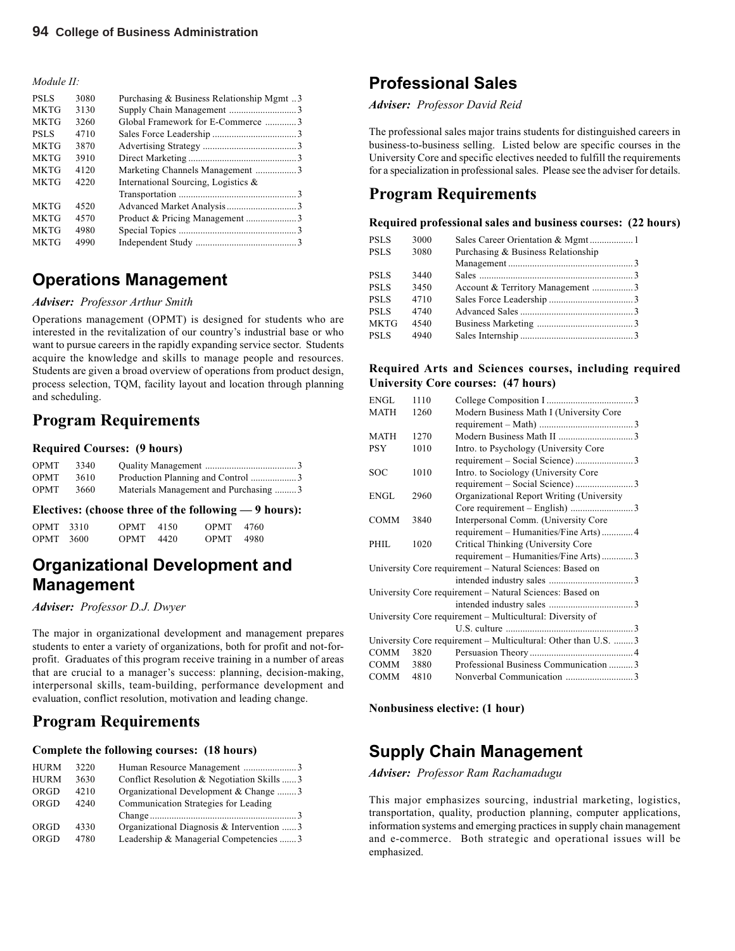#### *Module II:*

| <b>PSLS</b> | 3080 | Purchasing & Business Relationship Mgmt 3 |  |
|-------------|------|-------------------------------------------|--|
| <b>MKTG</b> | 3130 |                                           |  |
| <b>MKTG</b> | 3260 | Global Framework for E-Commerce 3         |  |
| <b>PSLS</b> | 4710 |                                           |  |
| <b>MKTG</b> | 3870 |                                           |  |
| <b>MKTG</b> | 3910 |                                           |  |
| <b>MKTG</b> | 4120 | Marketing Channels Management 3           |  |
| <b>MKTG</b> | 4220 | International Sourcing, Logistics $\&$    |  |
|             |      |                                           |  |
| <b>MKTG</b> | 4520 |                                           |  |
| <b>MKTG</b> | 4570 |                                           |  |
| <b>MKTG</b> | 4980 |                                           |  |
| <b>MKTG</b> | 4990 |                                           |  |

# **Operations Management**

#### *Adviser: Professor Arthur Smith*

Operations management (OPMT) is designed for students who are interested in the revitalization of our country's industrial base or who want to pursue careers in the rapidly expanding service sector. Students acquire the knowledge and skills to manage people and resources. Students are given a broad overview of operations from product design, process selection, TQM, facility layout and location through planning and scheduling.

### **Program Requirements**

#### **Required Courses: (9 hours)**

| OPMT        | 3340 |                                       |
|-------------|------|---------------------------------------|
| <b>OPMT</b> | 3610 | Production Planning and Control 3     |
| <b>OPMT</b> | 3660 | Materials Management and Purchasing 3 |

#### **Electives: (choose three of the following — 9 hours):**

| OPMT 3310 | $OPMT = 4150$ | OPMT 4760 |  |
|-----------|---------------|-----------|--|
| OPMT 3600 | $OPMT$ 4420   | OPMT 4980 |  |

# **Organizational Development and Management**

*Adviser: Professor D.J. Dwyer*

The major in organizational development and management prepares students to enter a variety of organizations, both for profit and not-forprofit. Graduates of this program receive training in a number of areas that are crucial to a manager's success: planning, decision-making, interpersonal skills, team-building, performance development and evaluation, conflict resolution, motivation and leading change.

### **Program Requirements**

#### **Complete the following courses: (18 hours)**

| <b>HURM</b> | 3220 |                                            |  |
|-------------|------|--------------------------------------------|--|
| <b>HURM</b> | 3630 | Conflict Resolution & Negotiation Skills 3 |  |
| ORGD        | 4210 | Organizational Development & Change 3      |  |
| ORGD        | 4240 | Communication Strategies for Leading       |  |
|             |      |                                            |  |
| ORGD        | 4330 | Organizational Diagnosis & Intervention  3 |  |
| ORGD        | 4780 | Leadership & Managerial Competencies 3     |  |

# **Professional Sales**

*Adviser: Professor David Reid*

The professional sales major trains students for distinguished careers in business-to-business selling. Listed below are specific courses in the University Core and specific electives needed to fulfill the requirements for a specialization in professional sales. Please see the adviser for details.

### **Program Requirements**

#### **Required professional sales and business courses: (22 hours)**

| <b>PSLS</b><br>3000 |                                    |
|---------------------|------------------------------------|
| <b>PSLS</b><br>3080 | Purchasing & Business Relationship |
|                     |                                    |
| <b>PSLS</b><br>3440 |                                    |
| <b>PSLS</b><br>3450 | Account & Territory Management 3   |
| <b>PSLS</b><br>4710 |                                    |
| <b>PSLS</b><br>4740 |                                    |
| MKTG<br>4540        |                                    |
| <b>PSLS</b><br>4940 |                                    |

#### **Required Arts and Sciences courses, including required University Core courses: (47 hours)**

| <b>ENGL</b> | 1110 |                                                                |  |
|-------------|------|----------------------------------------------------------------|--|
| <b>MATH</b> | 1260 | Modern Business Math I (University Core                        |  |
|             |      |                                                                |  |
| MATH        | 1270 |                                                                |  |
| <b>PSY</b>  | 1010 | Intro. to Psychology (University Core                          |  |
|             |      |                                                                |  |
| <b>SOC</b>  | 1010 | Intro. to Sociology (University Core                           |  |
|             |      | requirement - Social Science) 3                                |  |
| <b>ENGL</b> | 2960 | Organizational Report Writing (University                      |  |
|             |      |                                                                |  |
| <b>COMM</b> | 3840 | Interpersonal Comm. (University Core                           |  |
|             |      | requirement - Humanities/Fine Arts) 4                          |  |
| PHIL        | 1020 | Critical Thinking (University Core                             |  |
|             |      | requirement – Humanities/Fine Arts)3                           |  |
|             |      | University Core requirement - Natural Sciences: Based on       |  |
|             |      |                                                                |  |
|             |      | University Core requirement – Natural Sciences: Based on       |  |
|             |      |                                                                |  |
|             |      | University Core requirement - Multicultural: Diversity of      |  |
|             |      |                                                                |  |
|             |      | University Core requirement – Multicultural: Other than U.S. 3 |  |
| COMM        | 3820 |                                                                |  |
| COMM        | 3880 | Professional Business Communication  3                         |  |
| COMM        | 4810 |                                                                |  |
|             |      |                                                                |  |

**Nonbusiness elective: (1 hour)**

# **Supply Chain Management**

*Adviser: Professor Ram Rachamadugu*

This major emphasizes sourcing, industrial marketing, logistics, transportation, quality, production planning, computer applications, information systems and emerging practices in supply chain management and e-commerce. Both strategic and operational issues will be emphasized.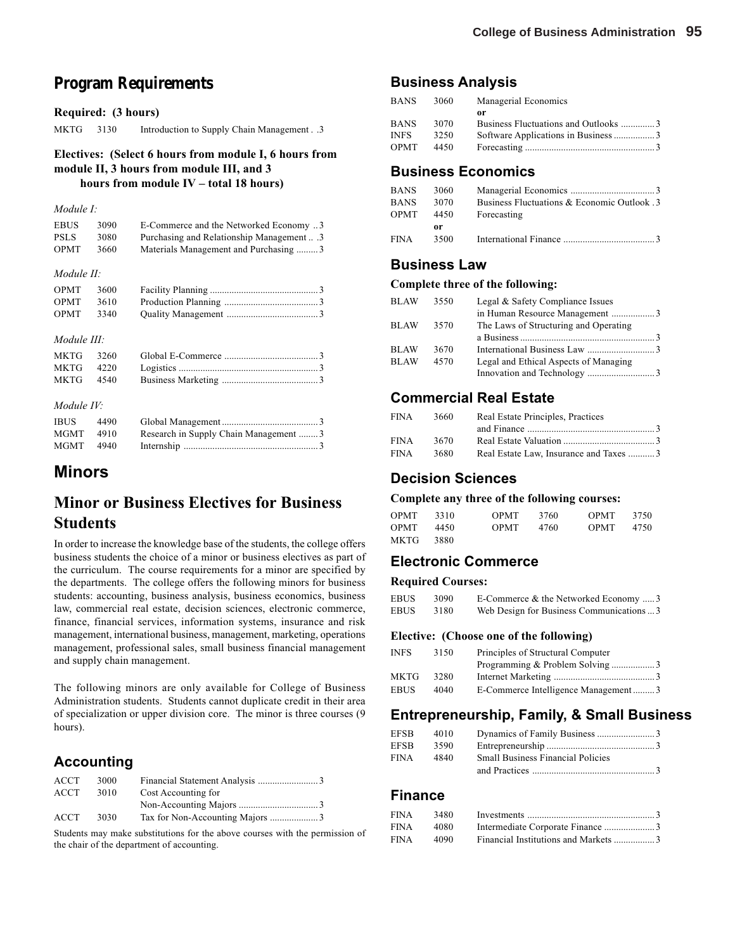# **Program Requirements**

#### **Required: (3 hours)**

MKTG 3130 Introduction to Supply Chain Management . .3

#### **Electives: (Select 6 hours from module I, 6 hours from module II, 3 hours from module III, and 3 hours from module IV – total 18 hours)**

#### *Module I:*

| EBUS        | 3090 | E-Commerce and the Networked Economy 3 |
|-------------|------|----------------------------------------|
| <b>PSLS</b> | 3080 | Purchasing and Relationship Management |
| <b>OPMT</b> | 3660 | Materials Management and Purchasing 3  |
|             |      |                                        |
| Module II:  |      |                                        |

| OPMT 3600     |  |  |
|---------------|--|--|
| $OPMT = 3610$ |  |  |
| $OPMT$ 3340   |  |  |

#### *Module III:*

#### *Module IV:*

| <b>IBUS</b> | 4490 |                                       |  |
|-------------|------|---------------------------------------|--|
| MGMT 4910   |      | Research in Supply Chain Management 3 |  |
| MGMT 4940   |      |                                       |  |

### **Minors**

# **Minor or Business Electives for Business Students**

In order to increase the knowledge base of the students, the college offers business students the choice of a minor or business electives as part of the curriculum. The course requirements for a minor are specified by the departments. The college offers the following minors for business students: accounting, business analysis, business economics, business law, commercial real estate, decision sciences, electronic commerce, finance, financial services, information systems, insurance and risk management, international business, management, marketing, operations management, professional sales, small business financial management and supply chain management.

The following minors are only available for College of Business Administration students. Students cannot duplicate credit in their area of specialization or upper division core. The minor is three courses (9 hours).

### **Accounting**

| ACCT. | 3000 |                     |  |
|-------|------|---------------------|--|
| ACCT  | 3010 | Cost Accounting for |  |
|       |      |                     |  |
| ACCT  | 3030 |                     |  |

Students may make substitutions for the above courses with the permission of the chair of the department of accounting.

### **Business Analysis**

| BANS  | 3060 | Managerial Economics                 |  |
|-------|------|--------------------------------------|--|
|       |      | or                                   |  |
| BANS. | 3070 | Business Fluctuations and Outlooks 3 |  |
| INFS. | 3250 | Software Applications in Business 3  |  |
| OPMT  | 4450 |                                      |  |
|       |      |                                      |  |

### **Business Economics**

| BANS  | 3060 |                                             |
|-------|------|---------------------------------------------|
| BANS. | 3070 | Business Fluctuations & Economic Outlook .3 |
| OPMT  | 4450 | Forecasting                                 |
|       | 0r   |                                             |
| FINA  | 3500 |                                             |

### **Business Law**

#### **Complete three of the following:**

| <b>BLAW</b> | 3550 | Legal & Safety Compliance Issues      |  |
|-------------|------|---------------------------------------|--|
|             |      | in Human Resource Management 3        |  |
| <b>BLAW</b> | 3570 | The Laws of Structuring and Operating |  |
|             |      |                                       |  |
| <b>BLAW</b> | 3670 |                                       |  |
| <b>BLAW</b> | 4570 | Legal and Ethical Aspects of Managing |  |
|             |      |                                       |  |

### **Commercial Real Estate**

| FINA        | 3660 | Real Estate Principles, Practices      |  |
|-------------|------|----------------------------------------|--|
|             |      |                                        |  |
| <b>FINA</b> | 3670 |                                        |  |
| FINA        | 3680 | Real Estate Law, Insurance and Taxes 3 |  |

### **Decision Sciences**

#### **Complete any three of the following courses:**

| <b>OPMT</b> | 3310 | <b>OPMT</b> | 3760 | <b>OPMT</b> | 3750 |
|-------------|------|-------------|------|-------------|------|
| <b>OPMT</b> | 4450 | <b>OPMT</b> | 4760 | <b>OPMT</b> | 4750 |
| MKTG        | 3880 |             |      |             |      |

### **Electronic Commerce**

#### **Required Courses:**

| EBUS | 3090 | E-Commerce & the Networked Economy 3      |
|------|------|-------------------------------------------|
| EBUS | 3180 | Web Design for Business Communications  3 |

#### **Elective: (Choose one of the following)**

| INFS. | 3150 | Principles of Structural Computer   |  |
|-------|------|-------------------------------------|--|
|       |      | Programming & Problem Solving 3     |  |
| MKTG  | 3280 |                                     |  |
| EBUS  | 4040 | E-Commerce Intelligence Management3 |  |

### **Entrepreneurship, Family, & Small Business**

| EFSB | 4010 |                                          |  |
|------|------|------------------------------------------|--|
| EFSB | 3590 |                                          |  |
| FINA | 4840 | <b>Small Business Financial Policies</b> |  |
|      |      | and Practices 3                          |  |

### **Finance**

| FINA | 3480 |                                      |  |
|------|------|--------------------------------------|--|
| FINA | 4080 |                                      |  |
| FINA | 4090 | Financial Institutions and Markets 3 |  |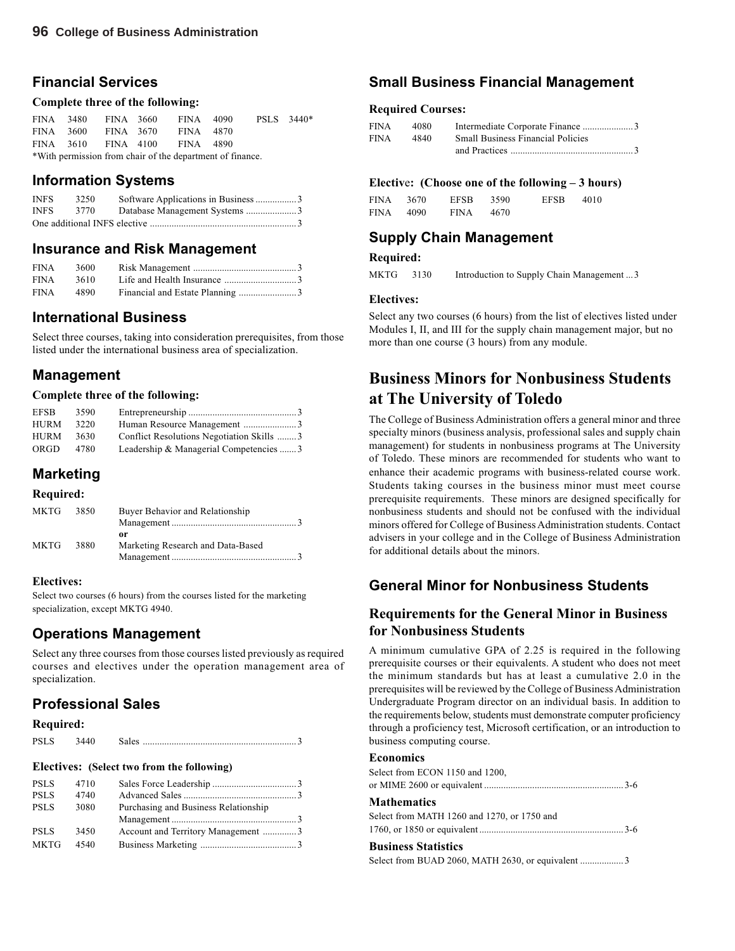### **Financial Services**

#### **Complete three of the following:**

|                                                           | FINA 3480 |  | FINA 3660 FINA 4090           |  |  | PSLS 3440 <sup>*</sup> |  |
|-----------------------------------------------------------|-----------|--|-------------------------------|--|--|------------------------|--|
|                                                           |           |  | FINA 3600 FINA 3670 FINA 4870 |  |  |                        |  |
|                                                           |           |  | FINA 3610 FINA 4100 FINA 4890 |  |  |                        |  |
| *With permission from chair of the department of finance. |           |  |                               |  |  |                        |  |

### **Information Systems**

| <b>INFS</b> | 3250 | Software Applications in Business 3 |
|-------------|------|-------------------------------------|
| <b>INFS</b> | 3770 | Database Management Systems 3       |
|             |      |                                     |

### **Insurance and Risk Management**

| FINA 3600 |  |  |
|-----------|--|--|
| FINA 3610 |  |  |
| FINA 4890 |  |  |

### **International Business**

Select three courses, taking into consideration prerequisites, from those listed under the international business area of specialization.

### **Management**

#### **Complete three of the following:**

| <b>EFSB</b> | 3590 |                                           |  |
|-------------|------|-------------------------------------------|--|
| <b>HURM</b> | 3220 |                                           |  |
| <b>HURM</b> | 3630 | Conflict Resolutions Negotiation Skills 3 |  |
| <b>ORGD</b> | 4780 | Leadership & Managerial Competencies 3    |  |

### **Marketing**

### **Required:**

| MKTG 3850 | Buyer Behavior and Relationship   |  |
|-----------|-----------------------------------|--|
|           |                                   |  |
|           | or                                |  |
| MKTG 3880 | Marketing Research and Data-Based |  |
|           |                                   |  |

#### **Electives:**

Select two courses (6 hours) from the courses listed for the marketing specialization, except MKTG 4940.

### **Operations Management**

Select any three courses from those courses listed previously as required courses and electives under the operation management area of specialization.

### **Professional Sales**

#### **Required:**

| <b>PSLS</b><br>Sale |  |
|---------------------|--|
|---------------------|--|

#### **Electives: (Select two from the following)**

| <b>PSLS</b> | 4710 |                                      |  |
|-------------|------|--------------------------------------|--|
| <b>PSLS</b> | 4740 |                                      |  |
| <b>PSLS</b> | 3080 | Purchasing and Business Relationship |  |
|             |      |                                      |  |
| <b>PSLS</b> | 3450 | Account and Territory Management 3   |  |
| <b>MKTG</b> | 4540 |                                      |  |

### **Small Business Financial Management**

#### **Required Courses:**

| FINA | 4080 |                                          |  |
|------|------|------------------------------------------|--|
| FINA | 4840 | <b>Small Business Financial Policies</b> |  |
|      |      |                                          |  |

#### **Electiv**e**: (Choose one of the following – 3 hours)**

| FINA 3670 |      | EFSB        | 3590 | <b>EFSB</b> | 4010 |
|-----------|------|-------------|------|-------------|------|
| FINA      | 4090 | <b>FINA</b> | 4670 |             |      |

### **Supply Chain Management**

### **Required:**

MKTG 3130 Introduction to Supply Chain Management ...3

#### **Electives:**

Select any two courses (6 hours) from the list of electives listed under Modules I, II, and III for the supply chain management major, but no more than one course (3 hours) from any module.

# **Business Minors for Nonbusiness Students at The University of Toledo**

The College of Business Administration offers a general minor and three specialty minors (business analysis, professional sales and supply chain management) for students in nonbusiness programs at The University of Toledo. These minors are recommended for students who want to enhance their academic programs with business-related course work. Students taking courses in the business minor must meet course prerequisite requirements. These minors are designed specifically for nonbusiness students and should not be confused with the individual minors offered for College of Business Administration students. Contact advisers in your college and in the College of Business Administration for additional details about the minors.

### **General Minor for Nonbusiness Students**

### **Requirements for the General Minor in Business for Nonbusiness Students**

A minimum cumulative GPA of 2.25 is required in the following prerequisite courses or their equivalents. A student who does not meet the minimum standards but has at least a cumulative 2.0 in the prerequisites will be reviewed by the College of Business Administration Undergraduate Program director on an individual basis. In addition to the requirements below, students must demonstrate computer proficiency through a proficiency test, Microsoft certification, or an introduction to business computing course.

#### **Economics**

| $\mathbf{D}$ $\mathbf{D}$ $\mathbf{D}$ $\mathbf{D}$ $\mathbf{D}$ $\mathbf{D}$ $\mathbf{D}$ $\mathbf{D}$ $\mathbf{D}$ $\mathbf{D}$ $\mathbf{D}$ $\mathbf{D}$ $\mathbf{D}$ $\mathbf{D}$ $\mathbf{D}$ $\mathbf{D}$ $\mathbf{D}$ $\mathbf{D}$ $\mathbf{D}$ $\mathbf{D}$ $\mathbf{D}$ $\mathbf{D}$ $\mathbf{D}$ $\mathbf{D}$ $\mathbf{$ |  |
|------------------------------------------------------------------------------------------------------------------------------------------------------------------------------------------------------------------------------------------------------------------------------------------------------------------------------------|--|
|                                                                                                                                                                                                                                                                                                                                    |  |
| Select from MATH 1260 and 1270, or 1750 and                                                                                                                                                                                                                                                                                        |  |
| <b>Mathematics</b>                                                                                                                                                                                                                                                                                                                 |  |
|                                                                                                                                                                                                                                                                                                                                    |  |
| Select from ECON 1150 and 1200,                                                                                                                                                                                                                                                                                                    |  |
|                                                                                                                                                                                                                                                                                                                                    |  |

#### **Business Statistics**

Select from BUAD 2060, MATH 2630, or equivalent .................. 3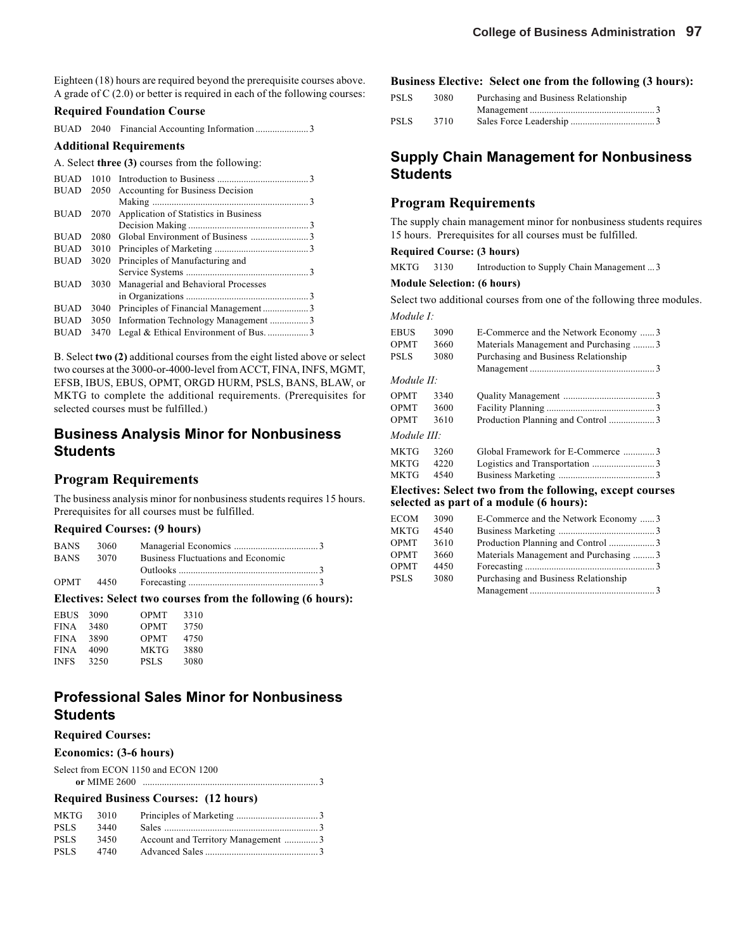Eighteen (18) hours are required beyond the prerequisite courses above. A grade of C (2.0) or better is required in each of the following courses:

#### **Required Foundation Course**

BUAD 2040 Financial Accounting Information ...................... 3

#### **Additional Requirements**

A. Select **three (3)** courses from the following:

| <b>BUAD</b> | 1010 |                                       |  |
|-------------|------|---------------------------------------|--|
| <b>BUAD</b> | 2050 | Accounting for Business Decision      |  |
|             |      |                                       |  |
| <b>BUAD</b> | 2070 | Application of Statistics in Business |  |
|             |      |                                       |  |
| <b>BUAD</b> | 2080 |                                       |  |
| <b>BUAD</b> | 3010 |                                       |  |
| <b>BUAD</b> | 3020 | Principles of Manufacturing and       |  |
|             |      |                                       |  |
| <b>BUAD</b> | 3030 | Managerial and Behavioral Processes   |  |
|             |      |                                       |  |
| <b>BUAD</b> | 3040 |                                       |  |
| <b>BUAD</b> | 3050 | Information Technology Management 3   |  |
| <b>BUAD</b> | 3470 |                                       |  |

B. Select **two (2)** additional courses from the eight listed above or select two courses at the 3000-or-4000-level from ACCT, FINA, INFS, MGMT, EFSB, IBUS, EBUS, OPMT, ORGD HURM, PSLS, BANS, BLAW, or MKTG to complete the additional requirements. (Prerequisites for selected courses must be fulfilled.)

### **Business Analysis Minor for Nonbusiness Students**

### **Program Requirements**

The business analysis minor for nonbusiness students requires 15 hours. Prerequisites for all courses must be fulfilled.

#### **Required Courses: (9 hours)**

| <b>BANS</b> | 3060 |                                    |
|-------------|------|------------------------------------|
| <b>BANS</b> | 3070 | Business Fluctuations and Economic |
|             |      |                                    |
| <b>OPMT</b> | 4450 |                                    |

#### **Electives: Select two courses from the following (6 hours):**

| <b>EBUS</b> | 3090 | OPMT        | 3310 |  |
|-------------|------|-------------|------|--|
| <b>FINA</b> | 3480 | <b>OPMT</b> | 3750 |  |
| <b>FINA</b> | 3890 | <b>OPMT</b> | 4750 |  |
| <b>FINA</b> | 4090 | MKTG        | 3880 |  |
| <b>INFS</b> | 3250 | <b>PSLS</b> | 3080 |  |
|             |      |             |      |  |

### **Professional Sales Minor for Nonbusiness Students**

#### **Required Courses:**

#### **Economics: (3-6 hours)**

Select from ECON 1150 and ECON 1200 **or** MIME 2600 ......................................................................... 3

#### **Required Business Courses: (12 hours)**

| MKTG 3010   |      |                                    |  |
|-------------|------|------------------------------------|--|
| <b>PSLS</b> | 3440 |                                    |  |
| <b>PSLS</b> | 3450 | Account and Territory Management 3 |  |
| <b>PSLS</b> | 4740 |                                    |  |

#### **Business Elective: Select one from the following (3 hours):**

| PSLS | 3080 | Purchasing and Business Relationship |  |
|------|------|--------------------------------------|--|
|      |      |                                      |  |
| PSLS | 3710 |                                      |  |

### **Supply Chain Management for Nonbusiness Students**

#### **Program Requirements**

The supply chain management minor for nonbusiness students requires 15 hours. Prerequisites for all courses must be fulfilled.

#### **Required Course: (3 hours)**

| MKTG | 3130 |  |  | Introduction to Supply Chain Management  3 |  |
|------|------|--|--|--------------------------------------------|--|
|------|------|--|--|--------------------------------------------|--|

#### **Module Selection: (6 hours)**

Select two additional courses from one of the following three modules. *Module I:*

| EBUS               | 3090 | E-Commerce and the Network Economy 3  |
|--------------------|------|---------------------------------------|
| OPMT               | 3660 | Materials Management and Purchasing 3 |
| <b>PSLS</b>        | 3080 | Purchasing and Business Relationship  |
|                    |      |                                       |
| Module II:         |      |                                       |
| OPMT               | 3340 |                                       |
| <b>OPMT</b>        | 3600 |                                       |
| OPMT               | 3610 |                                       |
| <i>Module III:</i> |      |                                       |
| MKTG               | 3260 | Global Framework for E-Commerce 3     |
| MKTG               | 4220 |                                       |
| MKTG               | 4540 |                                       |
|                    |      | пи от денешни                         |

#### **Electives: Select two from the following, except courses selected as part of a module (6 hours):**

| <b>ECOM</b> | 3090 | E-Commerce and the Network Economy 3  |  |
|-------------|------|---------------------------------------|--|
| MKTG        | 4540 |                                       |  |
| <b>OPMT</b> | 3610 |                                       |  |
| <b>OPMT</b> | 3660 | Materials Management and Purchasing 3 |  |
| <b>OPMT</b> | 4450 |                                       |  |
| PSLS        | 3080 | Purchasing and Business Relationship  |  |
|             |      |                                       |  |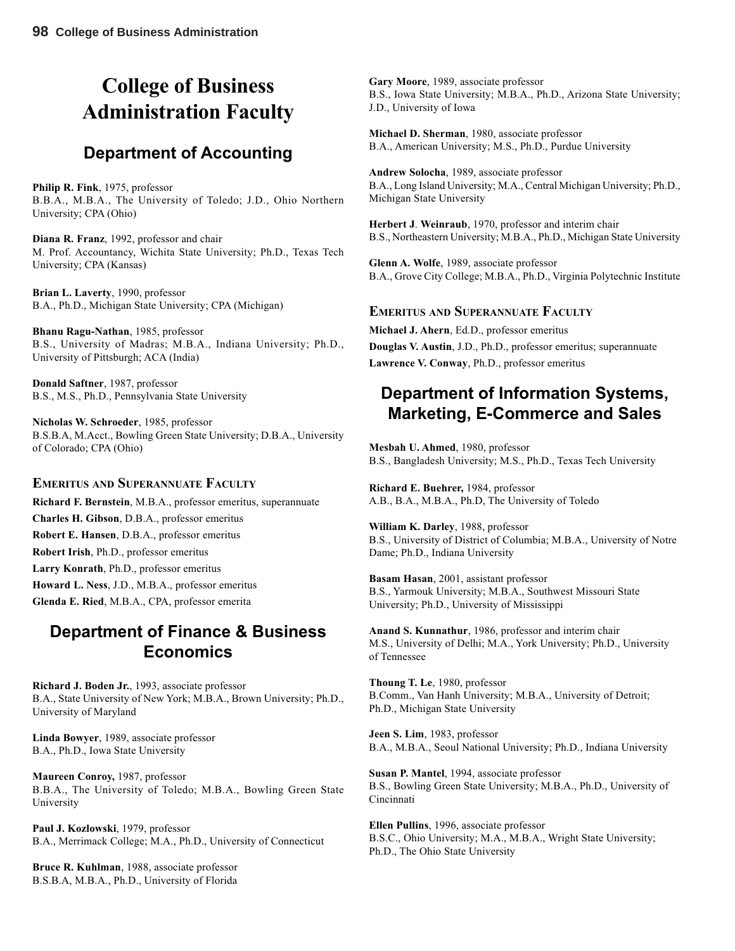# **College of Business Administration Faculty**

# **Department of Accounting**

**Philip R. Fink**, 1975, professor B.B.A., M.B.A., The University of Toledo; J.D., Ohio Northern University; CPA (Ohio)

**Diana R. Franz**, 1992, professor and chair M. Prof. Accountancy, Wichita State University; Ph.D., Texas Tech University; CPA (Kansas)

**Brian L. Laverty**, 1990, professor B.A., Ph.D., Michigan State University; CPA (Michigan)

**Bhanu Ragu-Nathan**, 1985, professor B.S., University of Madras; M.B.A., Indiana University; Ph.D., University of Pittsburgh; ACA (India)

**Donald Saftner**, 1987, professor B.S., M.S., Ph.D., Pennsylvania State University

**Nicholas W. Schroeder**, 1985, professor B.S.B.A, M.Acct., Bowling Green State University; D.B.A., University of Colorado; CPA (Ohio)

### **EMERITUS AND SUPERANNUATE FACULTY**

**Richard F. Bernstein**, M.B.A., professor emeritus, superannuate **Charles H. Gibson**, D.B.A., professor emeritus **Robert E. Hansen**, D.B.A., professor emeritus **Robert Irish**, Ph.D., professor emeritus **Larry Konrath**, Ph.D., professor emeritus **Howard L. Ness**, J.D., M.B.A., professor emeritus **Glenda E. Ried**, M.B.A., CPA, professor emerita

## **Department of Finance & Business Economics**

**Richard J. Boden Jr.**, 1993, associate professor B.A., State University of New York; M.B.A., Brown University; Ph.D., University of Maryland

**Linda Bowyer**, 1989, associate professor B.A., Ph.D., Iowa State University

**Maureen Conroy,** 1987, professor B.B.A., The University of Toledo; M.B.A., Bowling Green State University

**Paul J. Kozlowski**, 1979, professor B.A., Merrimack College; M.A., Ph.D., University of Connecticut

**Bruce R. Kuhlman**, 1988, associate professor B.S.B.A, M.B.A., Ph.D., University of Florida

**Gary Moore**, 1989, associate professor B.S., Iowa State University; M.B.A., Ph.D., Arizona State University; J.D., University of Iowa

**Michael D. Sherman**, 1980, associate professor B.A., American University; M.S., Ph.D., Purdue University

**Andrew Solocha**, 1989, associate professor B.A., Long Island University; M.A., Central Michigan University; Ph.D., Michigan State University

**Herbert J**. **Weinraub**, 1970, professor and interim chair B.S., Northeastern University; M.B.A., Ph.D., Michigan State University

**Glenn A. Wolfe**, 1989, associate professor B.A., Grove City College; M.B.A., Ph.D., Virginia Polytechnic Institute

### **EMERITUS AND SUPERANNUATE FACULTY**

**Michael J. Ahern**, Ed.D., professor emeritus **Douglas V. Austin**, J.D., Ph.D., professor emeritus; superannuate **Lawrence V. Conway**, Ph.D., professor emeritus

# **Department of Information Systems, Marketing, E-Commerce and Sales**

**Mesbah U. Ahmed**, 1980, professor B.S., Bangladesh University; M.S., Ph.D., Texas Tech University

**Richard E. Buehrer,** 1984, professor A.B., B.A., M.B.A., Ph.D, The University of Toledo

**William K. Darley**, 1988, professor B.S., University of District of Columbia; M.B.A., University of Notre Dame; Ph.D., Indiana University

**Basam Hasan**, 2001, assistant professor B.S., Yarmouk University; M.B.A., Southwest Missouri State University; Ph.D., University of Mississippi

**Anand S. Kunnathur**, 1986, professor and interim chair M.S., University of Delhi; M.A., York University; Ph.D., University of Tennessee

**Thoung T. Le**, 1980, professor B.Comm., Van Hanh University; M.B.A., University of Detroit; Ph.D., Michigan State University

**Jeen S. Lim**, 1983, professor B.A., M.B.A., Seoul National University; Ph.D., Indiana University

**Susan P. Mantel**, 1994, associate professor B.S., Bowling Green State University; M.B.A., Ph.D., University of Cincinnati

**Ellen Pullins**, 1996, associate professor B.S.C., Ohio University; M.A., M.B.A., Wright State University; Ph.D., The Ohio State University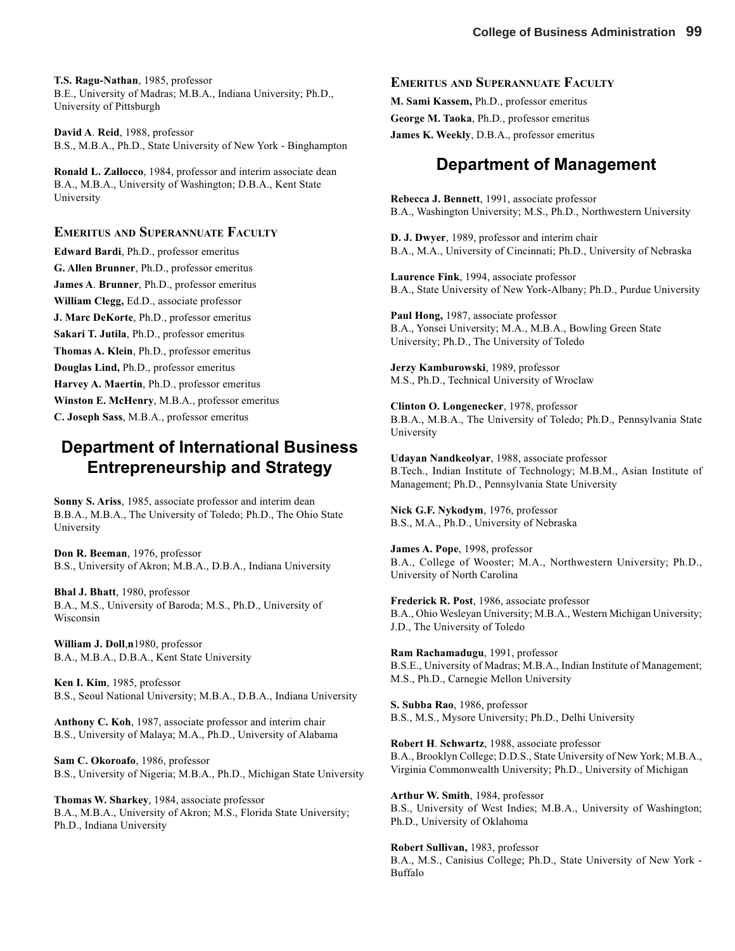**T.S. Ragu-Nathan**, 1985, professor B.E., University of Madras; M.B.A., Indiana University; Ph.D., University of Pittsburgh

**David A**. **Reid**, 1988, professor B.S., M.B.A., Ph.D., State University of New York - Binghampton

**Ronald L. Zallocco**, 1984, professor and interim associate dean B.A., M.B.A., University of Washington; D.B.A., Kent State University

### **EMERITUS AND SUPERANNUATE FACULTY**

**Edward Bardi**, Ph.D., professor emeritus **G. Allen Brunner**, Ph.D., professor emeritus **James A**. **Brunner**, Ph.D., professor emeritus **William Clegg,** Ed.D., associate professor **J. Marc DeKorte**, Ph.D., professor emeritus **Sakari T. Jutila**, Ph.D., professor emeritus **Thomas A. Klein**, Ph.D., professor emeritus **Douglas Lind,** Ph.D., professor emeritus **Harvey A. Maertin**, Ph.D., professor emeritus **Winston E. McHenry**, M.B.A., professor emeritus **C. Joseph Sass**, M.B.A., professor emeritus

## **Department of International Business Entrepreneurship and Strategy**

**Sonny S. Ariss**, 1985, associate professor and interim dean B.B.A., M.B.A., The University of Toledo; Ph.D., The Ohio State University

**Don R. Beeman**, 1976, professor B.S., University of Akron; M.B.A., D.B.A., Indiana University

**Bhal J. Bhatt**, 1980, professor B.A., M.S., University of Baroda; M.S., Ph.D., University of Wisconsin

**William J. Doll**,**n**1980, professor B.A., M.B.A., D.B.A., Kent State University

**Ken I. Kim**, 1985, professor B.S., Seoul National University; M.B.A., D.B.A., Indiana University

**Anthony C. Koh**, 1987, associate professor and interim chair B.S., University of Malaya; M.A., Ph.D., University of Alabama

**Sam C. Okoroafo**, 1986, professor B.S., University of Nigeria; M.B.A., Ph.D., Michigan State University

**Thomas W. Sharkey**, 1984, associate professor B.A., M.B.A., University of Akron; M.S., Florida State University; Ph.D., Indiana University

#### **EMERITUS AND SUPERANNUATE FACULTY**

**M. Sami Kassem,** Ph.D., professor emeritus **George M. Taoka**, Ph.D., professor emeritus **James K. Weekly**, D.B.A., professor emeritus

### **Department of Management**

**Rebecca J. Bennett**, 1991, associate professor B.A., Washington University; M.S., Ph.D., Northwestern University

**D. J. Dwyer**, 1989, professor and interim chair B.A., M.A., University of Cincinnati; Ph.D., University of Nebraska

**Laurence Fink**, 1994, associate professor B.A., State University of New York-Albany; Ph.D., Purdue University

**Paul Hong,** 1987, associate professor B.A., Yonsei University; M.A., M.B.A., Bowling Green State University; Ph.D., The University of Toledo

**Jerzy Kamburowski**, 1989, professor M.S., Ph.D., Technical University of Wroclaw

**Clinton O. Longenecker**, 1978, professor B.B.A., M.B.A., The University of Toledo; Ph.D., Pennsylvania State University

**Udayan Nandkeolyar**, 1988, associate professor B.Tech., Indian Institute of Technology; M.B.M., Asian Institute of Management; Ph.D., Pennsylvania State University

**Nick G.F. Nykodym**, 1976, professor B.S., M.A., Ph.D., University of Nebraska

**James A. Pope**, 1998, professor B.A., College of Wooster; M.A., Northwestern University; Ph.D., University of North Carolina

**Frederick R. Post**, 1986, associate professor B.A., Ohio Wesleyan University; M.B.A., Western Michigan University; J.D., The University of Toledo

**Ram Rachamadugu**, 1991, professor B.S.E., University of Madras; M.B.A., Indian Institute of Management; M.S., Ph.D., Carnegie Mellon University

**S. Subba Rao**, 1986, professor B.S., M.S., Mysore University; Ph.D., Delhi University

**Robert H**. **Schwartz**, 1988, associate professor B.A., Brooklyn College; D.D.S., State University of New York; M.B.A., Virginia Commonwealth University; Ph.D., University of Michigan

**Arthur W. Smith**, 1984, professor B.S., University of West Indies; M.B.A., University of Washington; Ph.D., University of Oklahoma

**Robert Sullivan,** 1983, professor B.A., M.S., Canisius College; Ph.D., State University of New York - Buffalo